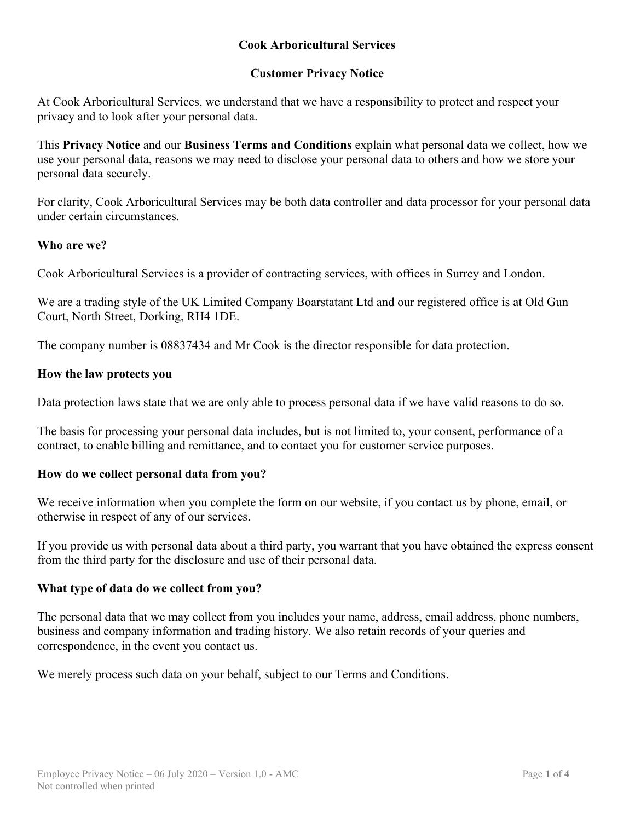# **Cook Arboricultural Services**

# **Customer Privacy Notice**

At Cook Arboricultural Services, we understand that we have a responsibility to protect and respect your privacy and to look after your personal data.

This **Privacy Notice** and our **Business Terms and Conditions** explain what personal data we collect, how we use your personal data, reasons we may need to disclose your personal data to others and how we store your personal data securely.

For clarity, Cook Arboricultural Services may be both data controller and data processor for your personal data under certain circumstances.

#### **Who are we?**

Cook Arboricultural Services is a provider of contracting services, with offices in Surrey and London.

We are a trading style of the UK Limited Company Boarstatant Ltd and our registered office is at Old Gun Court, North Street, Dorking, RH4 1DE.

The company number is 08837434 and Mr Cook is the director responsible for data protection.

#### **How the law protects you**

Data protection laws state that we are only able to process personal data if we have valid reasons to do so.

The basis for processing your personal data includes, but is not limited to, your consent, performance of a contract, to enable billing and remittance, and to contact you for customer service purposes.

### **How do we collect personal data from you?**

We receive information when you complete the form on our website, if you contact us by phone, email, or otherwise in respect of any of our services.

If you provide us with personal data about a third party, you warrant that you have obtained the express consent from the third party for the disclosure and use of their personal data.

#### **What type of data do we collect from you?**

The personal data that we may collect from you includes your name, address, email address, phone numbers, business and company information and trading history. We also retain records of your queries and correspondence, in the event you contact us.

We merely process such data on your behalf, subject to our Terms and Conditions.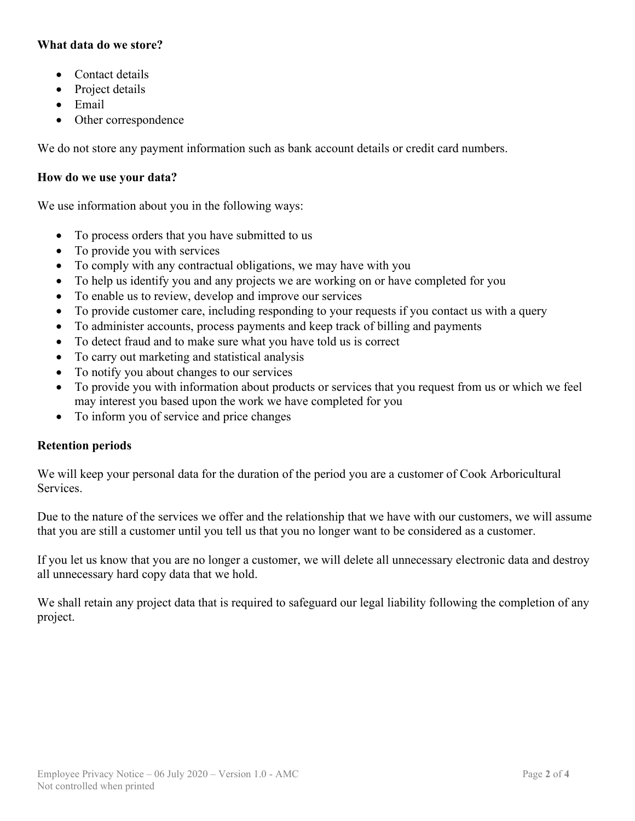# **What data do we store?**

- Contact details
- Project details
- Email
- Other correspondence

We do not store any payment information such as bank account details or credit card numbers.

## **How do we use your data?**

We use information about you in the following ways:

- To process orders that you have submitted to us
- To provide you with services
- To comply with any contractual obligations, we may have with you
- To help us identify you and any projects we are working on or have completed for you
- To enable us to review, develop and improve our services
- To provide customer care, including responding to your requests if you contact us with a query
- To administer accounts, process payments and keep track of billing and payments
- To detect fraud and to make sure what you have told us is correct
- To carry out marketing and statistical analysis
- To notify you about changes to our services
- To provide you with information about products or services that you request from us or which we feel may interest you based upon the work we have completed for you
- To inform you of service and price changes

## **Retention periods**

We will keep your personal data for the duration of the period you are a customer of Cook Arboricultural Services.

Due to the nature of the services we offer and the relationship that we have with our customers, we will assume that you are still a customer until you tell us that you no longer want to be considered as a customer.

If you let us know that you are no longer a customer, we will delete all unnecessary electronic data and destroy all unnecessary hard copy data that we hold.

We shall retain any project data that is required to safeguard our legal liability following the completion of any project.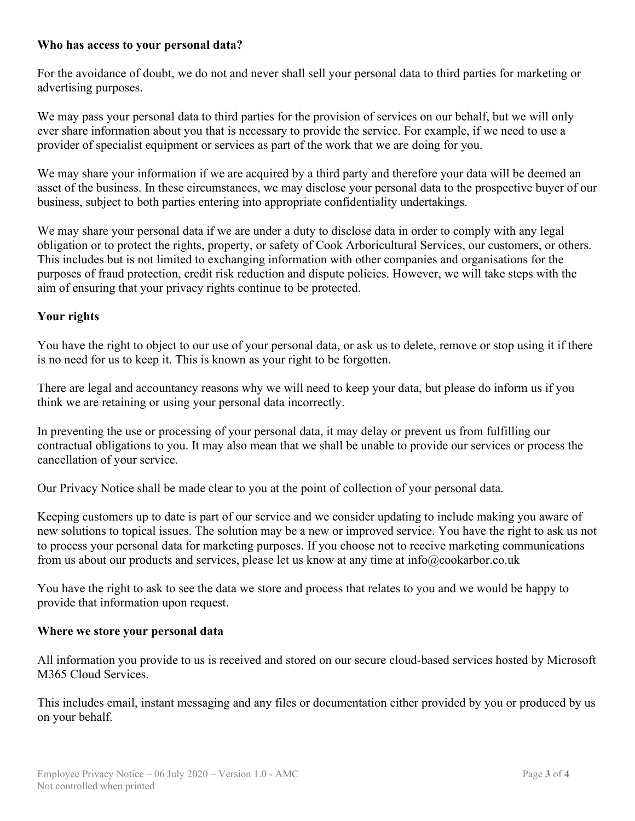## **Who has access to your personal data?**

For the avoidance of doubt, we do not and never shall sell your personal data to third parties for marketing or advertising purposes.

We may pass your personal data to third parties for the provision of services on our behalf, but we will only ever share information about you that is necessary to provide the service. For example, if we need to use a provider of specialist equipment or services as part of the work that we are doing for you.

We may share your information if we are acquired by a third party and therefore your data will be deemed an asset of the business. In these circumstances, we may disclose your personal data to the prospective buyer of our business, subject to both parties entering into appropriate confidentiality undertakings.

We may share your personal data if we are under a duty to disclose data in order to comply with any legal obligation or to protect the rights, property, or safety of Cook Arboricultural Services, our customers, or others. This includes but is not limited to exchanging information with other companies and organisations for the purposes of fraud protection, credit risk reduction and dispute policies. However, we will take steps with the aim of ensuring that your privacy rights continue to be protected.

# **Your rights**

You have the right to object to our use of your personal data, or ask us to delete, remove or stop using it if there is no need for us to keep it. This is known as your right to be forgotten.

There are legal and accountancy reasons why we will need to keep your data, but please do inform us if you think we are retaining or using your personal data incorrectly.

In preventing the use or processing of your personal data, it may delay or prevent us from fulfilling our contractual obligations to you. It may also mean that we shall be unable to provide our services or process the cancellation of your service.

Our Privacy Notice shall be made clear to you at the point of collection of your personal data.

Keeping customers up to date is part of our service and we consider updating to include making you aware of new solutions to topical issues. The solution may be a new or improved service. You have the right to ask us not to process your personal data for marketing purposes. If you choose not to receive marketing communications from us about our products and services, please let us know at any time at info@cookarbor.co.uk

You have the right to ask to see the data we store and process that relates to you and we would be happy to provide that information upon request.

### **Where we store your personal data**

All information you provide to us is received and stored on our secure cloud-based services hosted by Microsoft M365 Cloud Services.

This includes email, instant messaging and any files or documentation either provided by you or produced by us on your behalf.